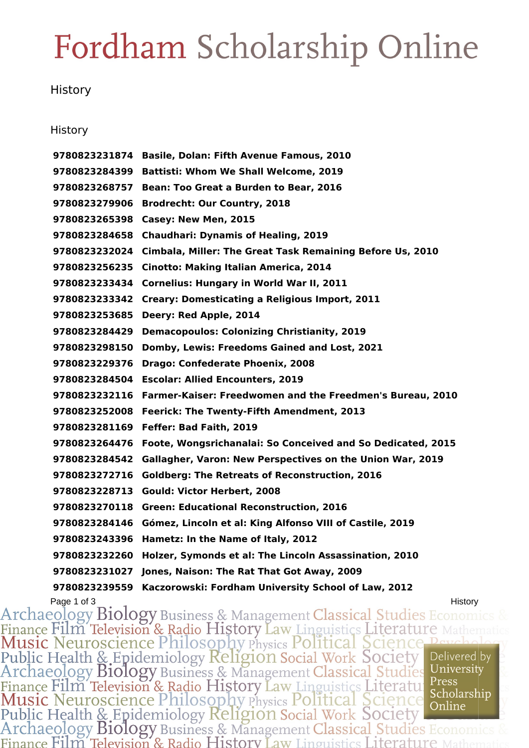### Fordham Scholarship Online

### **History**

#### **History**

 **Basile, Dolan: Fifth Avenue Famous, 2010 Battisti: Whom We Shall Welcome, 2019 Bean: Too Great a Burden to Bear, 2016 Brodrecht: Our Country, 2018 Casey: New Men, 2015 Chaudhari: Dynamis of Healing, 2019 Cimbala, Miller: The Great Task Remaining Before Us, 2010 Cinotto: Making Italian America, 2014 Cornelius: Hungary in World War II, 2011 Creary: Domesticating a Religious Import, 2011 Deery: Red Apple, 2014 Demacopoulos: Colonizing Christianity, 2019 Domby, Lewis: Freedoms Gained and Lost, 2021 Drago: Confederate Phoenix, 2008 Escolar: Allied Encounters, 2019 Farmer-Kaiser: Freedwomen and the Freedmen's Bureau, 2010 Feerick: The Twenty-Fifth Amendment, 2013 Feffer: Bad Faith, 2019 Foote, Wongsrichanalai: So Conceived and So Dedicated, 2015 Gallagher, Varon: New Perspectives on the Union War, 2019 Goldberg: The Retreats of Reconstruction, 2016 Gould: Victor Herbert, 2008 Green: Educational Reconstruction, 2016 Gómez, Lincoln et al: King Alfonso VIII of Castile, 2019 Hametz: In the Name of Italy, 2012 Holzer, Symonds et al: The Lincoln Assassination, 2010 Jones, Naison: The Rat That Got Away, 2009 Kaczorowski: Fordham University School of Law, 2012**

Page 1 of 3<br>Archaeology Biology Business & Management Classical Studies Econom Finance Film Television & Radio History Law Linguistics Literature Music Neuroscience Philosophy Physics Political Science Per Public Health & Epidemiology Religion Social Work Society Delivered by Archaeology Biology Business & Management Classical Studies University Finance Film Television & Radio History Law Linguistics Literature Press<br>Music Neuroscience Philosophy Physics Political Science Scholarship<br>Public Health & Epidemiology Religion Social Work Society<br>Archaeology Biology Bus Press Finance Film Television & Radio History Law Linguistics Literature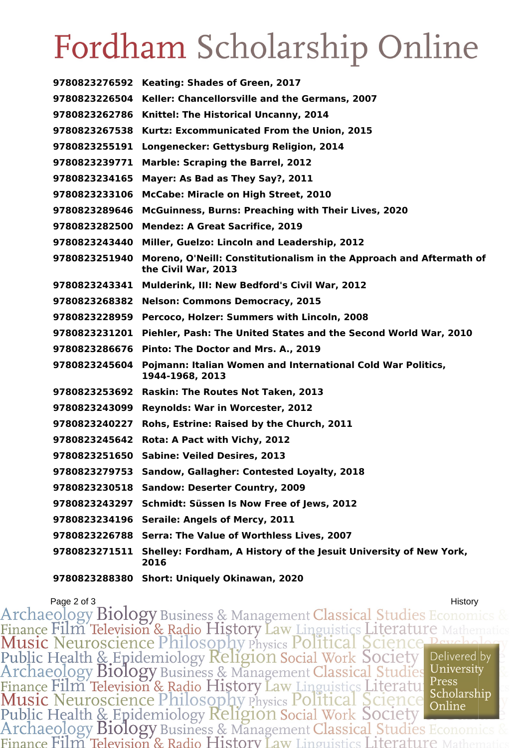# Fordham Scholarship Online

| 9780823276592 | Keating: Shades of Green, 2017                                                             |
|---------------|--------------------------------------------------------------------------------------------|
| 9780823226504 | Keller: Chancellorsville and the Germans, 2007                                             |
| 9780823262786 | Knittel: The Historical Uncanny, 2014                                                      |
| 9780823267538 | Kurtz: Excommunicated From the Union, 2015                                                 |
| 9780823255191 | Longenecker: Gettysburg Religion, 2014                                                     |
| 9780823239771 | <b>Marble: Scraping the Barrel, 2012</b>                                                   |
| 9780823234165 | Mayer: As Bad as They Say?, 2011                                                           |
| 9780823233106 | McCabe: Miracle on High Street, 2010                                                       |
| 9780823289646 | McGuinness, Burns: Preaching with Their Lives, 2020                                        |
| 9780823282500 | <b>Mendez: A Great Sacrifice, 2019</b>                                                     |
| 9780823243440 | Miller, Guelzo: Lincoln and Leadership, 2012                                               |
| 9780823251940 | Moreno, O'Neill: Constitutionalism in the Approach and Aftermath of<br>the Civil War, 2013 |
| 9780823243341 | Mulderink, III: New Bedford's Civil War, 2012                                              |
| 9780823268382 | <b>Nelson: Commons Democracy, 2015</b>                                                     |
| 9780823228959 | Percoco, Holzer: Summers with Lincoln, 2008                                                |
| 9780823231201 | Piehler, Pash: The United States and the Second World War, 2010                            |
| 9780823286676 | Pinto: The Doctor and Mrs. A., 2019                                                        |
| 9780823245604 | Pojmann: Italian Women and International Cold War Politics,<br>1944-1968, 2013             |
| 9780823253692 | Raskin: The Routes Not Taken, 2013                                                         |
| 9780823243099 | <b>Reynolds: War in Worcester, 2012</b>                                                    |
| 9780823240227 | Rohs, Estrine: Raised by the Church, 2011                                                  |
| 9780823245642 | Rota: A Pact with Vichy, 2012                                                              |
| 9780823251650 | <b>Sabine: Veiled Desires, 2013</b>                                                        |
| 9780823279753 | Sandow, Gallagher: Contested Loyalty, 2018                                                 |
|               | 9780823230518 Sandow: Deserter Country, 2009                                               |
|               | 9780823243297 Schmidt: Süssen Is Now Free of Jews, 2012                                    |
|               | 9780823234196 Seraile: Angels of Mercy, 2011                                               |
|               | 9780823226788 Serra: The Value of Worthless Lives, 2007                                    |
| 9780823271511 | Shelley: Fordham, A History of the Jesuit University of New York,<br>2016                  |
|               | 9780823288380 Short: Uniquely Okinawan, 2020                                               |

Page 2 of 3<br>Archaeology Biology Business & Management Classical Studies Economics Finance Film Television & Radio History Law Linguistics Literature Public Health & Epidemiology Religion Social Work Society<br>Archaeology Biology Business & Management Classical Studies Delivered by University Finance Film Television & Radio History Law Linguistics Literature Press<br>Music Neuroscience Philosophy Physics Political Science Scholarshi<br>Public Health & Epidemiology Religion Social Work Society<br>Archaeology Biology Busi Press Scholarship Finance Film Television & Radio History Law Linguistics Literature